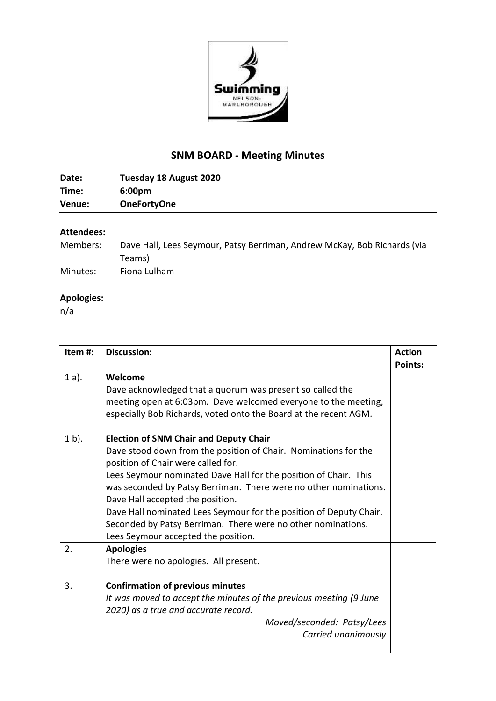

# **SNM BOARD - Meeting Minutes**

| Venue: | <b>OneFortyOne</b>     |
|--------|------------------------|
| Time:  | 6:00 <sub>pm</sub>     |
| Date:  | Tuesday 18 August 2020 |
|        |                        |

### **Attendees:**

| Members: | Dave Hall, Lees Seymour, Patsy Berriman, Andrew McKay, Bob Richards (via |
|----------|--------------------------------------------------------------------------|
|          | Teams)                                                                   |
| Minutes: | Fiona Lulham                                                             |

## **Apologies:**

n/a

| Item#:   | <b>Discussion:</b>                                                                                                                                                                                                                                                                                                                                                                                                                                                                                              | <b>Action</b><br><b>Points:</b> |
|----------|-----------------------------------------------------------------------------------------------------------------------------------------------------------------------------------------------------------------------------------------------------------------------------------------------------------------------------------------------------------------------------------------------------------------------------------------------------------------------------------------------------------------|---------------------------------|
| $1a$ ).  | Welcome<br>Dave acknowledged that a quorum was present so called the<br>meeting open at 6:03pm. Dave welcomed everyone to the meeting,<br>especially Bob Richards, voted onto the Board at the recent AGM.                                                                                                                                                                                                                                                                                                      |                                 |
| $1 b$ ). | <b>Election of SNM Chair and Deputy Chair</b><br>Dave stood down from the position of Chair. Nominations for the<br>position of Chair were called for.<br>Lees Seymour nominated Dave Hall for the position of Chair. This<br>was seconded by Patsy Berriman. There were no other nominations.<br>Dave Hall accepted the position.<br>Dave Hall nominated Lees Seymour for the position of Deputy Chair.<br>Seconded by Patsy Berriman. There were no other nominations.<br>Lees Seymour accepted the position. |                                 |
| 2.       | <b>Apologies</b><br>There were no apologies. All present.                                                                                                                                                                                                                                                                                                                                                                                                                                                       |                                 |
| 3.       | <b>Confirmation of previous minutes</b><br>It was moved to accept the minutes of the previous meeting (9 June<br>2020) as a true and accurate record.<br>Moved/seconded: Patsy/Lees<br>Carried unanimously                                                                                                                                                                                                                                                                                                      |                                 |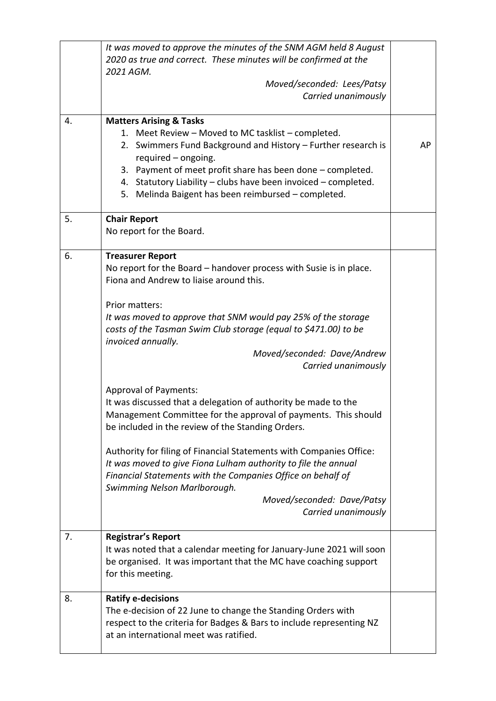|    | It was moved to approve the minutes of the SNM AGM held 8 August<br>2020 as true and correct. These minutes will be confirmed at the<br>2021 AGM.<br>Moved/seconded: Lees/Patsy<br>Carried unanimously                                                                                                                                                                                                                                                                                                                                                                                                                                                                                                                                                                                                                                                                                           |    |
|----|--------------------------------------------------------------------------------------------------------------------------------------------------------------------------------------------------------------------------------------------------------------------------------------------------------------------------------------------------------------------------------------------------------------------------------------------------------------------------------------------------------------------------------------------------------------------------------------------------------------------------------------------------------------------------------------------------------------------------------------------------------------------------------------------------------------------------------------------------------------------------------------------------|----|
| 4. | <b>Matters Arising &amp; Tasks</b><br>1. Meet Review - Moved to MC tasklist - completed.<br>2. Swimmers Fund Background and History - Further research is<br>required - ongoing.<br>3. Payment of meet profit share has been done - completed.<br>4. Statutory Liability - clubs have been invoiced - completed.<br>5. Melinda Baigent has been reimbursed - completed.                                                                                                                                                                                                                                                                                                                                                                                                                                                                                                                          | AP |
| 5. | <b>Chair Report</b><br>No report for the Board.                                                                                                                                                                                                                                                                                                                                                                                                                                                                                                                                                                                                                                                                                                                                                                                                                                                  |    |
| 6. | <b>Treasurer Report</b><br>No report for the Board – handover process with Susie is in place.<br>Fiona and Andrew to liaise around this.<br>Prior matters:<br>It was moved to approve that SNM would pay 25% of the storage<br>costs of the Tasman Swim Club storage (equal to \$471.00) to be<br>invoiced annually.<br>Moved/seconded: Dave/Andrew<br>Carried unanimously<br><b>Approval of Payments:</b><br>It was discussed that a delegation of authority be made to the<br>Management Committee for the approval of payments. This should<br>be included in the review of the Standing Orders.<br>Authority for filing of Financial Statements with Companies Office:<br>It was moved to give Fiona Lulham authority to file the annual<br>Financial Statements with the Companies Office on behalf of<br>Swimming Nelson Marlborough.<br>Moved/seconded: Dave/Patsy<br>Carried unanimously |    |
| 7. | <b>Registrar's Report</b><br>It was noted that a calendar meeting for January-June 2021 will soon<br>be organised. It was important that the MC have coaching support<br>for this meeting.                                                                                                                                                                                                                                                                                                                                                                                                                                                                                                                                                                                                                                                                                                       |    |
| 8. | <b>Ratify e-decisions</b><br>The e-decision of 22 June to change the Standing Orders with<br>respect to the criteria for Badges & Bars to include representing NZ<br>at an international meet was ratified.                                                                                                                                                                                                                                                                                                                                                                                                                                                                                                                                                                                                                                                                                      |    |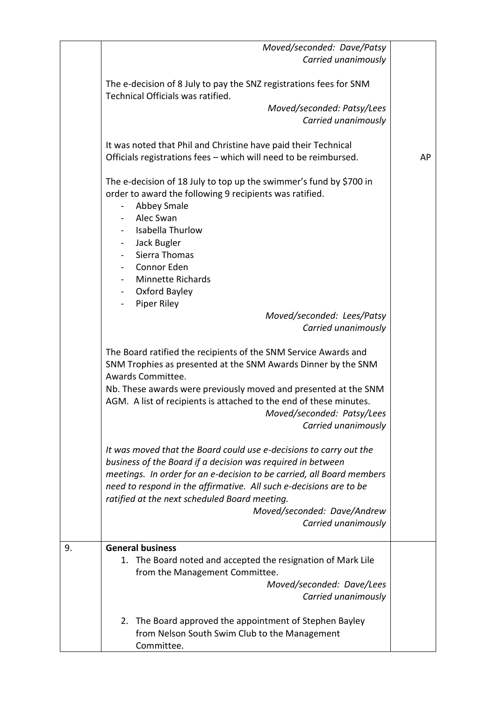|    | Moved/seconded: Dave/Patsy<br>Carried unanimously                                                                                                                                                                                                                                                                                                                                       |    |
|----|-----------------------------------------------------------------------------------------------------------------------------------------------------------------------------------------------------------------------------------------------------------------------------------------------------------------------------------------------------------------------------------------|----|
|    | The e-decision of 8 July to pay the SNZ registrations fees for SNM<br>Technical Officials was ratified.                                                                                                                                                                                                                                                                                 |    |
|    | Moved/seconded: Patsy/Lees<br>Carried unanimously                                                                                                                                                                                                                                                                                                                                       |    |
|    | It was noted that Phil and Christine have paid their Technical<br>Officials registrations fees - which will need to be reimbursed.                                                                                                                                                                                                                                                      | AP |
|    | The e-decision of 18 July to top up the swimmer's fund by \$700 in<br>order to award the following 9 recipients was ratified.<br><b>Abbey Smale</b><br>Alec Swan<br>Isabella Thurlow<br>Jack Bugler<br>$\sim 100$<br>- Sierra Thomas<br>- Connor Eden<br>- Minnette Richards                                                                                                            |    |
|    | - Oxford Bayley<br>- Piper Riley<br>Moved/seconded: Lees/Patsy<br>Carried unanimously                                                                                                                                                                                                                                                                                                   |    |
|    | The Board ratified the recipients of the SNM Service Awards and<br>SNM Trophies as presented at the SNM Awards Dinner by the SNM<br>Awards Committee.<br>Nb. These awards were previously moved and presented at the SNM<br>AGM. A list of recipients is attached to the end of these minutes.<br>Moved/seconded: Patsy/Lees<br>Carried unanimously                                     |    |
|    | It was moved that the Board could use e-decisions to carry out the<br>business of the Board if a decision was required in between<br>meetings. In order for an e-decision to be carried, all Board members<br>need to respond in the affirmative. All such e-decisions are to be<br>ratified at the next scheduled Board meeting.<br>Moved/seconded: Dave/Andrew<br>Carried unanimously |    |
| 9. | <b>General business</b><br>1. The Board noted and accepted the resignation of Mark Lile<br>from the Management Committee.<br>Moved/seconded: Dave/Lees<br>Carried unanimously                                                                                                                                                                                                           |    |
|    | The Board approved the appointment of Stephen Bayley<br>2.<br>from Nelson South Swim Club to the Management<br>Committee.                                                                                                                                                                                                                                                               |    |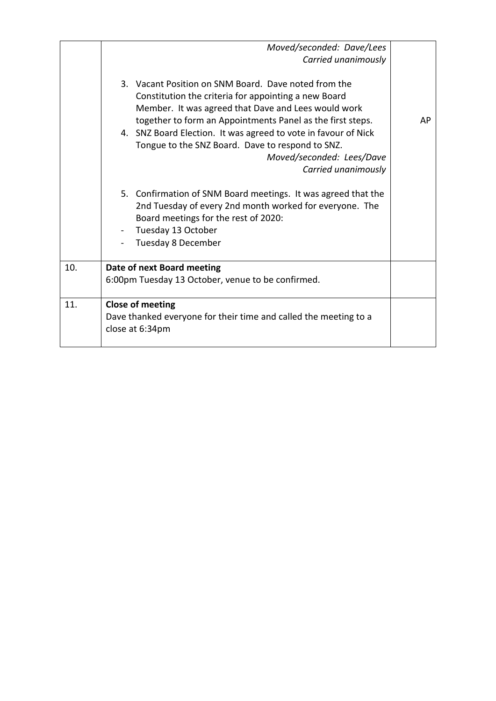|     | Moved/seconded: Dave/Lees                                                                                                                                                                                                                                                                                                                                                                                   |    |
|-----|-------------------------------------------------------------------------------------------------------------------------------------------------------------------------------------------------------------------------------------------------------------------------------------------------------------------------------------------------------------------------------------------------------------|----|
|     | Carried unanimously                                                                                                                                                                                                                                                                                                                                                                                         |    |
|     | 3. Vacant Position on SNM Board. Dave noted from the<br>Constitution the criteria for appointing a new Board<br>Member. It was agreed that Dave and Lees would work<br>together to form an Appointments Panel as the first steps.<br>4. SNZ Board Election. It was agreed to vote in favour of Nick<br>Tongue to the SNZ Board. Dave to respond to SNZ.<br>Moved/seconded: Lees/Dave<br>Carried unanimously | AP |
|     | 5. Confirmation of SNM Board meetings. It was agreed that the<br>2nd Tuesday of every 2nd month worked for everyone. The<br>Board meetings for the rest of 2020:<br>Tuesday 13 October<br>Tuesday 8 December                                                                                                                                                                                                |    |
| 10. | Date of next Board meeting                                                                                                                                                                                                                                                                                                                                                                                  |    |
|     | 6:00pm Tuesday 13 October, venue to be confirmed.                                                                                                                                                                                                                                                                                                                                                           |    |
| 11. | Close of meeting                                                                                                                                                                                                                                                                                                                                                                                            |    |
|     | Dave thanked everyone for their time and called the meeting to a                                                                                                                                                                                                                                                                                                                                            |    |
|     | close at 6:34pm                                                                                                                                                                                                                                                                                                                                                                                             |    |
|     |                                                                                                                                                                                                                                                                                                                                                                                                             |    |